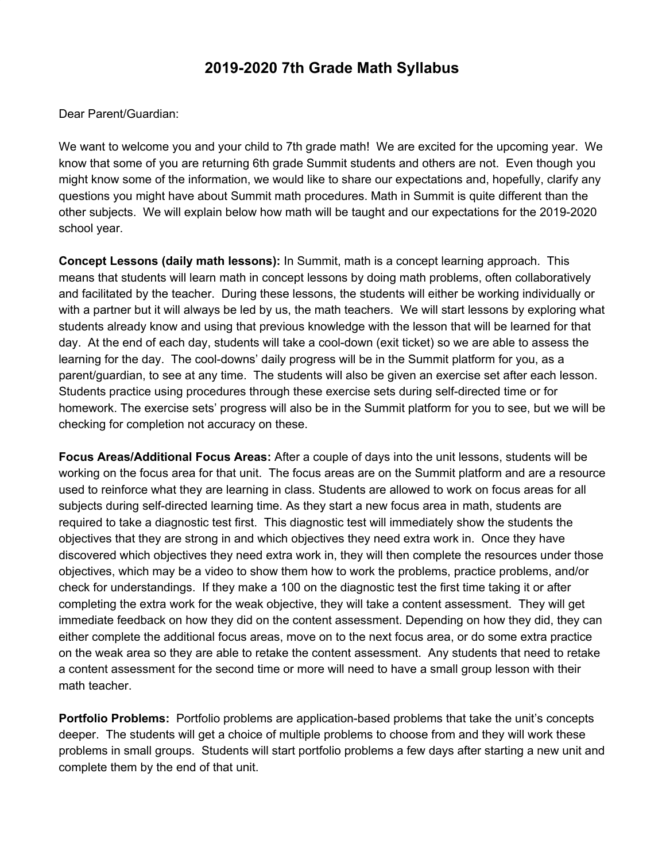## **2019-2020 7th Grade Math Syllabus**

Dear Parent/Guardian:

We want to welcome you and your child to 7th grade math! We are excited for the upcoming year. We know that some of you are returning 6th grade Summit students and others are not. Even though you might know some of the information, we would like to share our expectations and, hopefully, clarify any questions you might have about Summit math procedures. Math in Summit is quite different than the other subjects. We will explain below how math will be taught and our expectations for the 2019-2020 school year.

**Concept Lessons (daily math lessons):** In Summit, math is a concept learning approach. This means that students will learn math in concept lessons by doing math problems, often collaboratively and facilitated by the teacher. During these lessons, the students will either be working individually or with a partner but it will always be led by us, the math teachers. We will start lessons by exploring what students already know and using that previous knowledge with the lesson that will be learned for that day. At the end of each day, students will take a cool-down (exit ticket) so we are able to assess the learning for the day. The cool-downs' daily progress will be in the Summit platform for you, as a parent/guardian, to see at any time. The students will also be given an exercise set after each lesson. Students practice using procedures through these exercise sets during self-directed time or for homework. The exercise sets' progress will also be in the Summit platform for you to see, but we will be checking for completion not accuracy on these.

**Focus Areas/Additional Focus Areas:** After a couple of days into the unit lessons, students will be working on the focus area for that unit. The focus areas are on the Summit platform and are a resource used to reinforce what they are learning in class. Students are allowed to work on focus areas for all subjects during self-directed learning time. As they start a new focus area in math, students are required to take a diagnostic test first. This diagnostic test will immediately show the students the objectives that they are strong in and which objectives they need extra work in. Once they have discovered which objectives they need extra work in, they will then complete the resources under those objectives, which may be a video to show them how to work the problems, practice problems, and/or check for understandings. If they make a 100 on the diagnostic test the first time taking it or after completing the extra work for the weak objective, they will take a content assessment. They will get immediate feedback on how they did on the content assessment. Depending on how they did, they can either complete the additional focus areas, move on to the next focus area, or do some extra practice on the weak area so they are able to retake the content assessment. Any students that need to retake a content assessment for the second time or more will need to have a small group lesson with their math teacher.

**Portfolio Problems:** Portfolio problems are application-based problems that take the unit's concepts deeper. The students will get a choice of multiple problems to choose from and they will work these problems in small groups. Students will start portfolio problems a few days after starting a new unit and complete them by the end of that unit.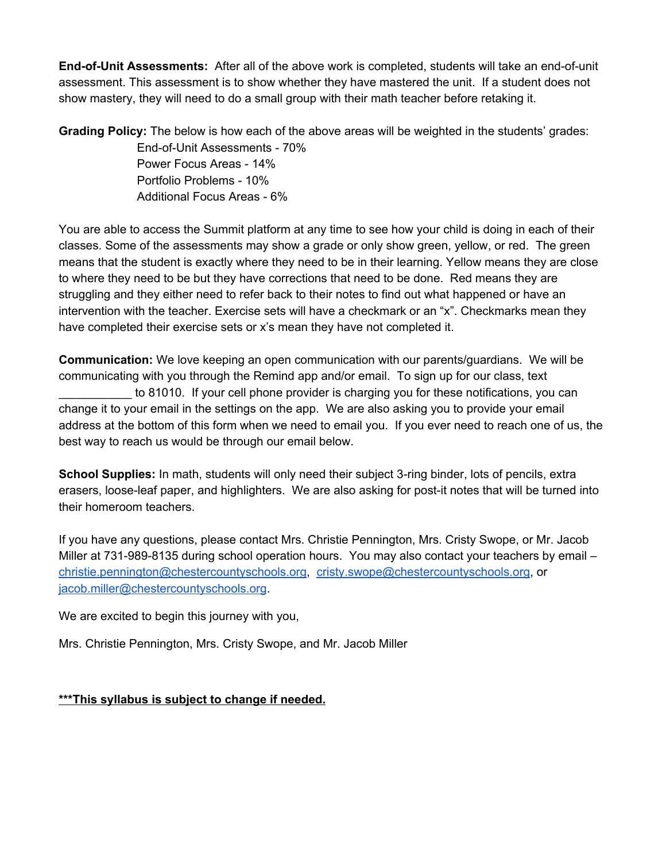**End-of-Unit Assessments:** After all of the above work is completed, students will take an end-of-unit assessment. This assessment is to show whether they have mastered the unit. If a student does not show mastery, they will need to do a small group with their math teacher before retaking it.

**Grading Policy:** The below is how each of the above areas will be weighted in the students' grades:

End-of-Unit Assessments - 70% Power Focus Areas - 14% Portfolio Problems - 10% Additional Focus Areas - 6%

You are able to access the Summit platform at any time to see how your child is doing in each of their classes. Some of the assessments may show a grade or only show green, yellow, or red. The green means that the student is exactly where they need to be in their learning. Yellow means they are close to where they need to be but they have corrections that need to be done. Red means they are struggling and they either need to refer back to their notes to find out what happened or have an intervention with the teacher. Exercise sets will have a checkmark or an "x". Checkmarks mean they have completed their exercise sets or x's mean they have not completed it.

**Communication:** We love keeping an open communication with our parents/guardians. We will be communicating with you through the Remind app and/or email. To sign up for our class, text to 81010. If your cell phone provider is charging you for these notifications, you can change it to your email in the settings on the app. We are also asking you to provide your email address at the bottom of this form when we need to email you. If you ever need to reach one of us, the best way to reach us would be through our email below.

**School Supplies:** In math, students will only need their subject 3-ring binder, lots of pencils, extra erasers, loose-leaf paper, and highlighters. We are also asking for post-it notes that will be turned into their homeroom teachers.

If you have any questions, please contact Mrs. Christie Pennington, Mrs. Cristy Swope, or Mr. Jacob Miller at 731-989-8135 during school operation hours. You may also contact your teachers by email christie.pennington@chestercountyschools.org, cristy.swope@chestercountyschools.org, or jacob.miller@chestercountyschools.org.

We are excited to begin this journey with you,

Mrs. Christie Pennington, Mrs. Cristy Swope, and Mr. Jacob Miller

**\*\*\*This syllabus is subject to change if needed.**